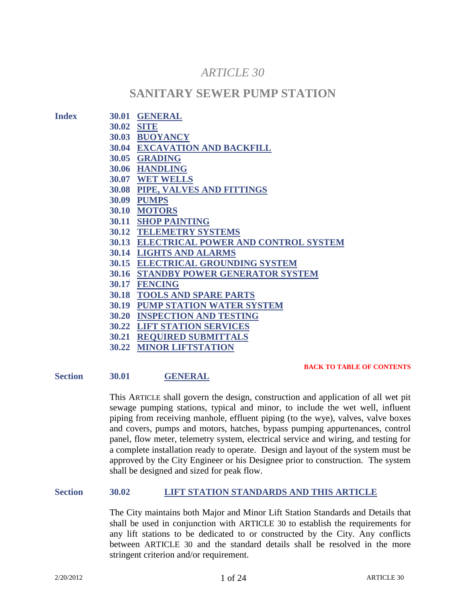# *ARTICLE 30*

# **SANITARY SEWER PUMP STATION**

|                   | 30.01 GENERAL                             |
|-------------------|-------------------------------------------|
| <b>30.02 SITE</b> |                                           |
|                   | 30.03 BUOYANCY                            |
|                   | <b>30.04 EXCAVATION AND BACKFILL</b>      |
|                   | 30.05 GRADING                             |
|                   | 30.06 HANDLING                            |
| 30.07             | <b>WET WELLS</b>                          |
| 30.08             | PIPE, VALVES AND FITTINGS                 |
| 30.09             | <b>PUMPS</b>                              |
| 30.10             | <b>MOTORS</b>                             |
|                   | <b>30.11 SHOP PAINTING</b>                |
| 30.12             | <b>TELEMETRY SYSTEMS</b>                  |
|                   | 30.13 ELECTRICAL POWER AND CONTROL SYSTEM |
|                   | <b>30.14 LIGHTS AND ALARMS</b>            |
| 30.15             | <b>ELECTRICAL GROUNDING SYSTEM</b>        |
| 30.16             | <b>STANDBY POWER GENERATOR SYSTEM</b>     |
| 30.17             | <b>FENCING</b>                            |
|                   | <b>30.18 TOOLS AND SPARE PARTS</b>        |
| 30.19             | <b>PUMP STATION WATER SYSTEM</b>          |
| 30.20             | <b>INSPECTION AND TESTING</b>             |
| 30.22             | <b>LIFT STATION SERVICES</b>              |
| 30.21             | <b>REQUIRED SUBMITTALS</b>                |
|                   | <b>30.22 MINOR LIFTSTATION</b>            |

**Section 30.01 GENERAL**

**BACK TO TABLE OF CONTENTS**

This ARTICLE shall govern the design, construction and application of all wet pit sewage pumping stations, typical and minor, to include the wet well, influent piping from receiving manhole, effluent piping (to the wye), valves, valve boxes and covers, pumps and motors, hatches, bypass pumping appurtenances, control panel, flow meter, telemetry system, electrical service and wiring, and testing for a complete installation ready to operate. Design and layout of the system must be approved by the City Engineer or his Designee prior to construction. The system shall be designed and sized for peak flow.

# **Section 30.02 LIFT STATION STANDARDS AND THIS ARTICLE**

The City maintains both Major and Minor Lift Station Standards and Details that shall be used in conjunction with ARTICLE 30 to establish the requirements for any lift stations to be dedicated to or constructed by the City. Any conflicts between ARTICLE 30 and the standard details shall be resolved in the more stringent criterion and/or requirement.

 $Index$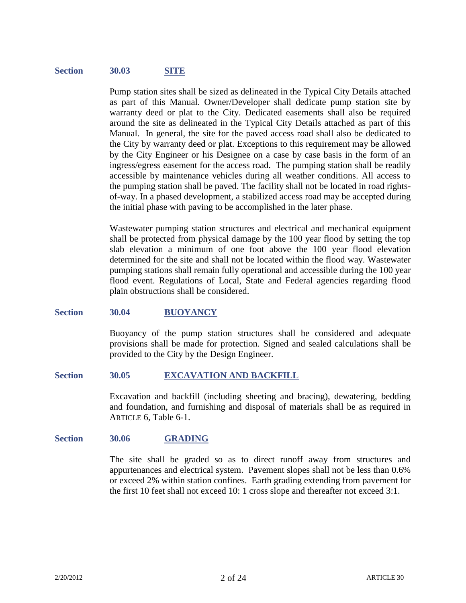#### **Section 30.03 SITE**

Pump station sites shall be sized as delineated in the Typical City Details attached as part of this Manual. Owner/Developer shall dedicate pump station site by warranty deed or plat to the City. Dedicated easements shall also be required around the site as delineated in the Typical City Details attached as part of this Manual. In general, the site for the paved access road shall also be dedicated to the City by warranty deed or plat. Exceptions to this requirement may be allowed by the City Engineer or his Designee on a case by case basis in the form of an ingress/egress easement for the access road. The pumping station shall be readily accessible by maintenance vehicles during all weather conditions. All access to the pumping station shall be paved. The facility shall not be located in road rightsof-way. In a phased development, a stabilized access road may be accepted during the initial phase with paving to be accomplished in the later phase.

Wastewater pumping station structures and electrical and mechanical equipment shall be protected from physical damage by the 100 year flood by setting the top slab elevation a minimum of one foot above the 100 year flood elevation determined for the site and shall not be located within the flood way. Wastewater pumping stations shall remain fully operational and accessible during the 100 year flood event. Regulations of Local, State and Federal agencies regarding flood plain obstructions shall be considered.

#### **Section 30.04 BUOYANCY**

Buoyancy of the pump station structures shall be considered and adequate provisions shall be made for protection. Signed and sealed calculations shall be provided to the City by the Design Engineer.

#### **Section 30.05 EXCAVATION AND BACKFILL**

Excavation and backfill (including sheeting and bracing), dewatering, bedding and foundation, and furnishing and disposal of materials shall be as required in ARTICLE 6, Table 6-1.

#### **Section 30.06 GRADING**

The site shall be graded so as to direct runoff away from structures and appurtenances and electrical system. Pavement slopes shall not be less than 0.6% or exceed 2% within station confines. Earth grading extending from pavement for the first 10 feet shall not exceed 10: 1 cross slope and thereafter not exceed 3:1.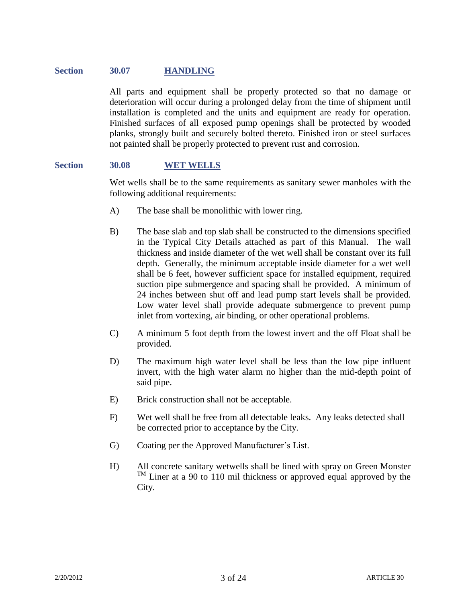### **Section 30.07 HANDLING**

All parts and equipment shall be properly protected so that no damage or deterioration will occur during a prolonged delay from the time of shipment until installation is completed and the units and equipment are ready for operation. Finished surfaces of all exposed pump openings shall be protected by wooded planks, strongly built and securely bolted thereto. Finished iron or steel surfaces not painted shall be properly protected to prevent rust and corrosion.

#### **Section 30.08 WET WELLS**

Wet wells shall be to the same requirements as sanitary sewer manholes with the following additional requirements:

- A) The base shall be monolithic with lower ring.
- B) The base slab and top slab shall be constructed to the dimensions specified in the Typical City Details attached as part of this Manual. The wall thickness and inside diameter of the wet well shall be constant over its full depth. Generally, the minimum acceptable inside diameter for a wet well shall be 6 feet, however sufficient space for installed equipment, required suction pipe submergence and spacing shall be provided. A minimum of 24 inches between shut off and lead pump start levels shall be provided. Low water level shall provide adequate submergence to prevent pump inlet from vortexing, air binding, or other operational problems.
- C) A minimum 5 foot depth from the lowest invert and the off Float shall be provided.
- D) The maximum high water level shall be less than the low pipe influent invert, with the high water alarm no higher than the mid-depth point of said pipe.
- E) Brick construction shall not be acceptable.
- F) Wet well shall be free from all detectable leaks. Any leaks detected shall be corrected prior to acceptance by the City.
- G) Coating per the Approved Manufacturer's List.
- H) All concrete sanitary wetwells shall be lined with spray on Green Monster  $T<sup>M</sup>$  Liner at a 90 to 110 mil thickness or approved equal approved by the City.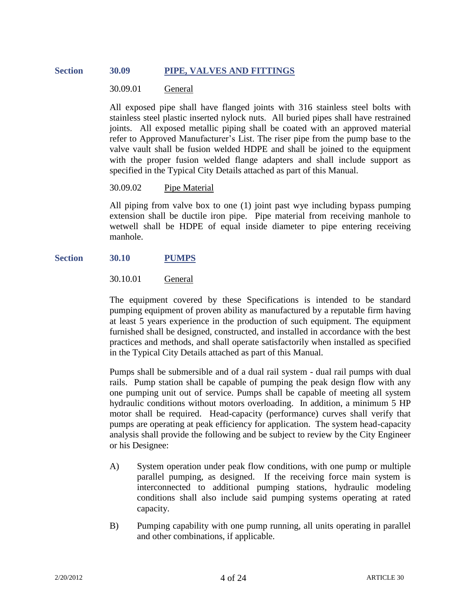# **Section 30.09 PIPE, VALVES AND FITTINGS**

### 30.09.01 General

All exposed pipe shall have flanged joints with 316 stainless steel bolts with stainless steel plastic inserted nylock nuts. All buried pipes shall have restrained joints. All exposed metallic piping shall be coated with an approved material refer to Approved Manufacturer's List. The riser pipe from the pump base to the valve vault shall be fusion welded HDPE and shall be joined to the equipment with the proper fusion welded flange adapters and shall include support as specified in the Typical City Details attached as part of this Manual.

#### 30.09.02 Pipe Material

All piping from valve box to one (1) joint past wye including bypass pumping extension shall be ductile iron pipe. Pipe material from receiving manhole to wetwell shall be HDPE of equal inside diameter to pipe entering receiving manhole.

### **Section 30.10 PUMPS**

### 30.10.01 General

The equipment covered by these Specifications is intended to be standard pumping equipment of proven ability as manufactured by a reputable firm having at least 5 years experience in the production of such equipment. The equipment furnished shall be designed, constructed, and installed in accordance with the best practices and methods, and shall operate satisfactorily when installed as specified in the Typical City Details attached as part of this Manual.

Pumps shall be submersible and of a dual rail system - dual rail pumps with dual rails. Pump station shall be capable of pumping the peak design flow with any one pumping unit out of service. Pumps shall be capable of meeting all system hydraulic conditions without motors overloading. In addition, a minimum 5 HP motor shall be required. Head-capacity (performance) curves shall verify that pumps are operating at peak efficiency for application. The system head-capacity analysis shall provide the following and be subject to review by the City Engineer or his Designee:

- A) System operation under peak flow conditions, with one pump or multiple parallel pumping, as designed. If the receiving force main system is interconnected to additional pumping stations, hydraulic modeling conditions shall also include said pumping systems operating at rated capacity.
- B) Pumping capability with one pump running, all units operating in parallel and other combinations, if applicable.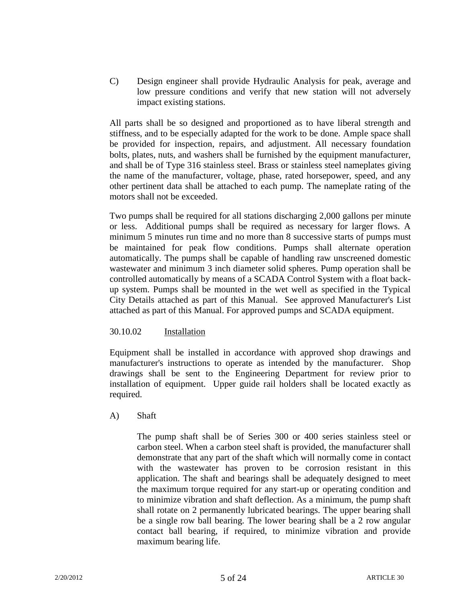C) Design engineer shall provide Hydraulic Analysis for peak, average and low pressure conditions and verify that new station will not adversely impact existing stations.

All parts shall be so designed and proportioned as to have liberal strength and stiffness, and to be especially adapted for the work to be done. Ample space shall be provided for inspection, repairs, and adjustment. All necessary foundation bolts, plates, nuts, and washers shall be furnished by the equipment manufacturer, and shall be of Type 316 stainless steel. Brass or stainless steel nameplates giving the name of the manufacturer, voltage, phase, rated horsepower, speed, and any other pertinent data shall be attached to each pump. The nameplate rating of the motors shall not be exceeded.

Two pumps shall be required for all stations discharging 2,000 gallons per minute or less. Additional pumps shall be required as necessary for larger flows. A minimum 5 minutes run time and no more than 8 successive starts of pumps must be maintained for peak flow conditions. Pumps shall alternate operation automatically. The pumps shall be capable of handling raw unscreened domestic wastewater and minimum 3 inch diameter solid spheres. Pump operation shall be controlled automatically by means of a SCADA Control System with a float backup system. Pumps shall be mounted in the wet well as specified in the Typical City Details attached as part of this Manual. See approved Manufacturer's List attached as part of this Manual. For approved pumps and SCADA equipment.

### 30.10.02 Installation

Equipment shall be installed in accordance with approved shop drawings and manufacturer's instructions to operate as intended by the manufacturer. Shop drawings shall be sent to the Engineering Department for review prior to installation of equipment. Upper guide rail holders shall be located exactly as required.

### A) Shaft

The pump shaft shall be of Series 300 or 400 series stainless steel or carbon steel. When a carbon steel shaft is provided, the manufacturer shall demonstrate that any part of the shaft which will normally come in contact with the wastewater has proven to be corrosion resistant in this application. The shaft and bearings shall be adequately designed to meet the maximum torque required for any start-up or operating condition and to minimize vibration and shaft deflection. As a minimum, the pump shaft shall rotate on 2 permanently lubricated bearings. The upper bearing shall be a single row ball bearing. The lower bearing shall be a 2 row angular contact ball bearing, if required, to minimize vibration and provide maximum bearing life.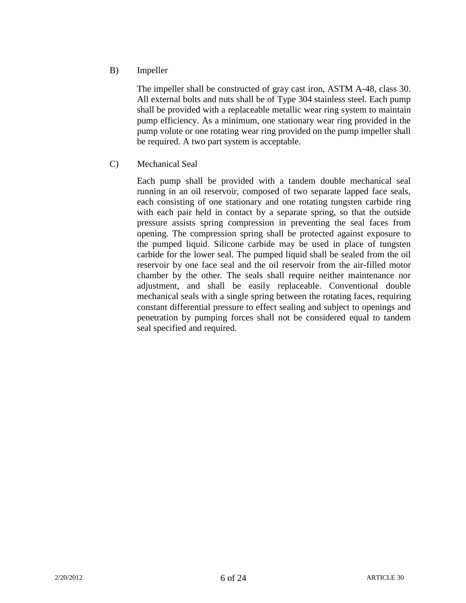B) Impeller

The impeller shall be constructed of gray cast iron, ASTM A-48, class 30. All external bolts and nuts shall be of Type 304 stainless steel. Each pump shall be provided with a replaceable metallic wear ring system to maintain pump efficiency. As a minimum, one stationary wear ring provided in the pump volute or one rotating wear ring provided on the pump impeller shall be required. A two part system is acceptable.

C) Mechanical Seal

Each pump shall be provided with a tandem double mechanical seal running in an oil reservoir, composed of two separate lapped face seals, each consisting of one stationary and one rotating tungsten carbide ring with each pair held in contact by a separate spring, so that the outside pressure assists spring compression in preventing the seal faces from opening. The compression spring shall be protected against exposure to the pumped liquid. Silicone carbide may be used in place of tungsten carbide for the lower seal. The pumped liquid shall be sealed from the oil reservoir by one face seal and the oil reservoir from the air-filled motor chamber by the other. The seals shall require neither maintenance nor adjustment, and shall be easily replaceable. Conventional double mechanical seals with a single spring between the rotating faces, requiring constant differential pressure to effect sealing and subject to openings and penetration by pumping forces shall not be considered equal to tandem seal specified and required.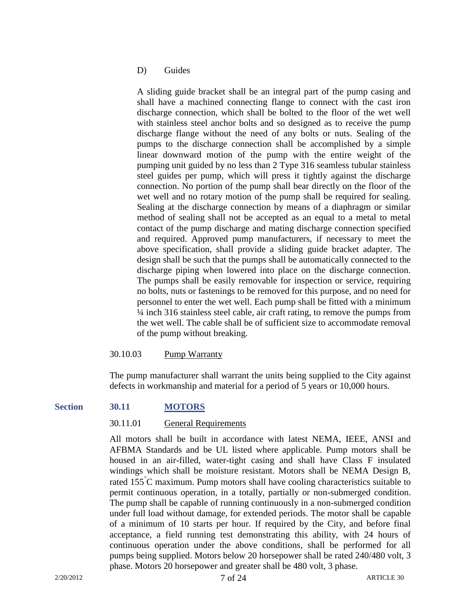#### D) Guides

A sliding guide bracket shall be an integral part of the pump casing and shall have a machined connecting flange to connect with the cast iron discharge connection, which shall be bolted to the floor of the wet well with stainless steel anchor bolts and so designed as to receive the pump discharge flange without the need of any bolts or nuts. Sealing of the pumps to the discharge connection shall be accomplished by a simple linear downward motion of the pump with the entire weight of the pumping unit guided by no less than 2 Type 316 seamless tubular stainless steel guides per pump, which will press it tightly against the discharge connection. No portion of the pump shall bear directly on the floor of the wet well and no rotary motion of the pump shall be required for sealing. Sealing at the discharge connection by means of a diaphragm or similar method of sealing shall not be accepted as an equal to a metal to metal contact of the pump discharge and mating discharge connection specified and required. Approved pump manufacturers, if necessary to meet the above specification, shall provide a sliding guide bracket adapter. The design shall be such that the pumps shall be automatically connected to the discharge piping when lowered into place on the discharge connection. The pumps shall be easily removable for inspection or service, requiring no bolts, nuts or fastenings to be removed for this purpose, and no need for personnel to enter the wet well. Each pump shall be fitted with a minimum ¼ inch 316 stainless steel cable, air craft rating, to remove the pumps from the wet well. The cable shall be of sufficient size to accommodate removal of the pump without breaking.

### 30.10.03 Pump Warranty

The pump manufacturer shall warrant the units being supplied to the City against defects in workmanship and material for a period of 5 years or 10,000 hours.

### **Section 30.11 MOTORS**

#### 30.11.01 General Requirements

All motors shall be built in accordance with latest NEMA, IEEE, ANSI and AFBMA Standards and be UL listed where applicable. Pump motors shall be housed in an air-filled, water-tight casing and shall have Class F insulated windings which shall be moisture resistant. Motors shall be NEMA Design B, rated 155<sup>°</sup>C maximum. Pump motors shall have cooling characteristics suitable to permit continuous operation, in a totally, partially or non-submerged condition. The pump shall be capable of running continuously in a non-submerged condition under full load without damage, for extended periods. The motor shall be capable of a minimum of 10 starts per hour. If required by the City, and before final acceptance, a field running test demonstrating this ability, with 24 hours of continuous operation under the above conditions, shall be performed for all pumps being supplied. Motors below 20 horsepower shall be rated 240/480 volt, 3 phase. Motors 20 horsepower and greater shall be 480 volt, 3 phase.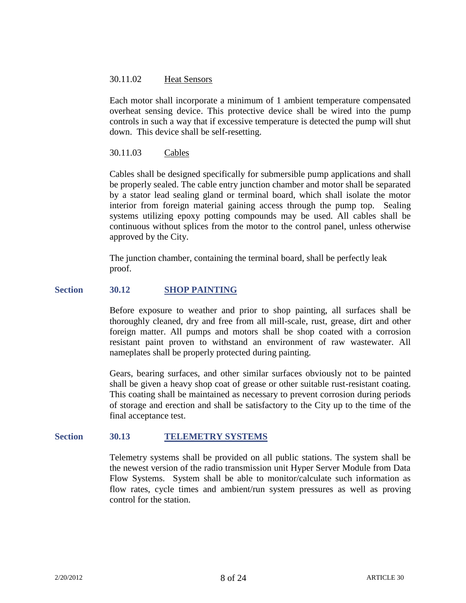### 30.11.02 Heat Sensors

Each motor shall incorporate a minimum of 1 ambient temperature compensated overheat sensing device. This protective device shall be wired into the pump controls in such a way that if excessive temperature is detected the pump will shut down. This device shall be self-resetting.

# 30.11.03 Cables

Cables shall be designed specifically for submersible pump applications and shall be properly sealed. The cable entry junction chamber and motor shall be separated by a stator lead sealing gland or terminal board, which shall isolate the motor interior from foreign material gaining access through the pump top. Sealing systems utilizing epoxy potting compounds may be used. All cables shall be continuous without splices from the motor to the control panel, unless otherwise approved by the City.

The junction chamber, containing the terminal board, shall be perfectly leak proof.

### **Section 30.12 SHOP PAINTING**

Before exposure to weather and prior to shop painting, all surfaces shall be thoroughly cleaned, dry and free from all mill-scale, rust, grease, dirt and other foreign matter. All pumps and motors shall be shop coated with a corrosion resistant paint proven to withstand an environment of raw wastewater. All nameplates shall be properly protected during painting.

Gears, bearing surfaces, and other similar surfaces obviously not to be painted shall be given a heavy shop coat of grease or other suitable rust-resistant coating. This coating shall be maintained as necessary to prevent corrosion during periods of storage and erection and shall be satisfactory to the City up to the time of the final acceptance test.

#### **Section 30.13 TELEMETRY SYSTEMS**

Telemetry systems shall be provided on all public stations. The system shall be the newest version of the radio transmission unit Hyper Server Module from Data Flow Systems. System shall be able to monitor/calculate such information as flow rates, cycle times and ambient/run system pressures as well as proving control for the station.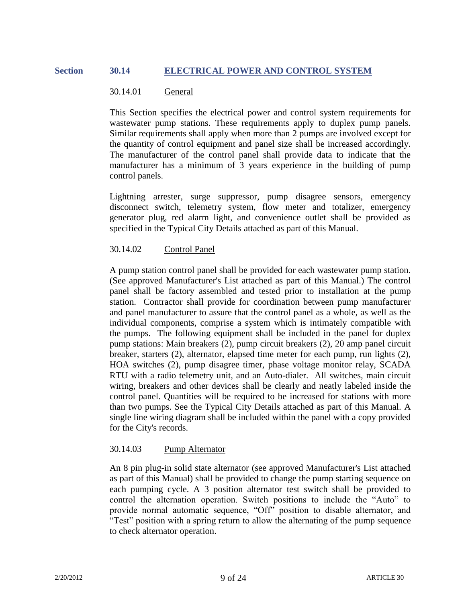# **Section 30.14 ELECTRICAL POWER AND CONTROL SYSTEM**

#### 30.14.01 General

This Section specifies the electrical power and control system requirements for wastewater pump stations. These requirements apply to duplex pump panels. Similar requirements shall apply when more than 2 pumps are involved except for the quantity of control equipment and panel size shall be increased accordingly. The manufacturer of the control panel shall provide data to indicate that the manufacturer has a minimum of 3 years experience in the building of pump control panels.

Lightning arrester, surge suppressor, pump disagree sensors, emergency disconnect switch, telemetry system, flow meter and totalizer, emergency generator plug, red alarm light, and convenience outlet shall be provided as specified in the Typical City Details attached as part of this Manual.

#### 30.14.02 Control Panel

A pump station control panel shall be provided for each wastewater pump station. (See approved Manufacturer's List attached as part of this Manual.) The control panel shall be factory assembled and tested prior to installation at the pump station. Contractor shall provide for coordination between pump manufacturer and panel manufacturer to assure that the control panel as a whole, as well as the individual components, comprise a system which is intimately compatible with the pumps. The following equipment shall be included in the panel for duplex pump stations: Main breakers (2), pump circuit breakers (2), 20 amp panel circuit breaker, starters (2), alternator, elapsed time meter for each pump, run lights (2), HOA switches (2), pump disagree timer, phase voltage monitor relay, SCADA RTU with a radio telemetry unit, and an Auto-dialer. All switches, main circuit wiring, breakers and other devices shall be clearly and neatly labeled inside the control panel. Quantities will be required to be increased for stations with more than two pumps. See the Typical City Details attached as part of this Manual. A single line wiring diagram shall be included within the panel with a copy provided for the City's records.

### 30.14.03 Pump Alternator

An 8 pin plug-in solid state alternator (see approved Manufacturer's List attached as part of this Manual) shall be provided to change the pump starting sequence on each pumping cycle. A 3 position alternator test switch shall be provided to control the alternation operation. Switch positions to include the "Auto" to provide normal automatic sequence, "Off" position to disable alternator, and "Test" position with a spring return to allow the alternating of the pump sequence to check alternator operation.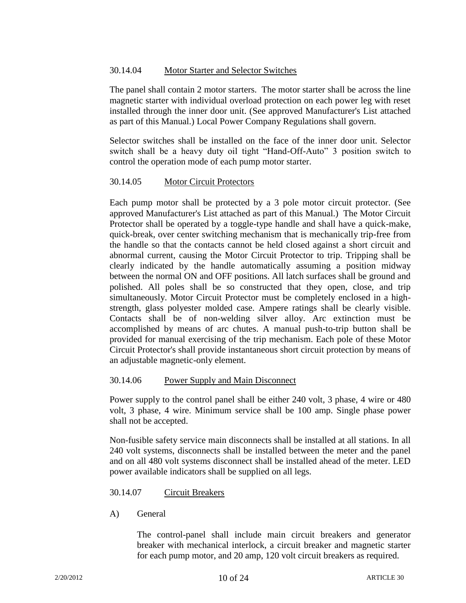# 30.14.04 Motor Starter and Selector Switches

The panel shall contain 2 motor starters. The motor starter shall be across the line magnetic starter with individual overload protection on each power leg with reset installed through the inner door unit. (See approved Manufacturer's List attached as part of this Manual.) Local Power Company Regulations shall govern.

Selector switches shall be installed on the face of the inner door unit. Selector switch shall be a heavy duty oil tight "Hand-Off-Auto" 3 position switch to control the operation mode of each pump motor starter.

# 30.14.05 Motor Circuit Protectors

Each pump motor shall be protected by a 3 pole motor circuit protector. (See approved Manufacturer's List attached as part of this Manual.) The Motor Circuit Protector shall be operated by a toggle-type handle and shall have a quick-make, quick-break, over center switching mechanism that is mechanically trip-free from the handle so that the contacts cannot be held closed against a short circuit and abnormal current, causing the Motor Circuit Protector to trip. Tripping shall be clearly indicated by the handle automatically assuming a position midway between the normal ON and OFF positions. All latch surfaces shall be ground and polished. All poles shall be so constructed that they open, close, and trip simultaneously. Motor Circuit Protector must be completely enclosed in a highstrength, glass polyester molded case. Ampere ratings shall be clearly visible. Contacts shall be of non-welding silver alloy. Arc extinction must be accomplished by means of arc chutes. A manual push-to-trip button shall be provided for manual exercising of the trip mechanism. Each pole of these Motor Circuit Protector's shall provide instantaneous short circuit protection by means of an adjustable magnetic-only element.

### 30.14.06 Power Supply and Main Disconnect

Power supply to the control panel shall be either 240 volt, 3 phase, 4 wire or 480 volt, 3 phase, 4 wire. Minimum service shall be 100 amp. Single phase power shall not be accepted.

Non-fusible safety service main disconnects shall be installed at all stations. In all 240 volt systems, disconnects shall be installed between the meter and the panel and on all 480 volt systems disconnect shall be installed ahead of the meter. LED power available indicators shall be supplied on all legs.

### 30.14.07 Circuit Breakers

A) General

The control-panel shall include main circuit breakers and generator breaker with mechanical interlock, a circuit breaker and magnetic starter for each pump motor, and 20 amp, 120 volt circuit breakers as required.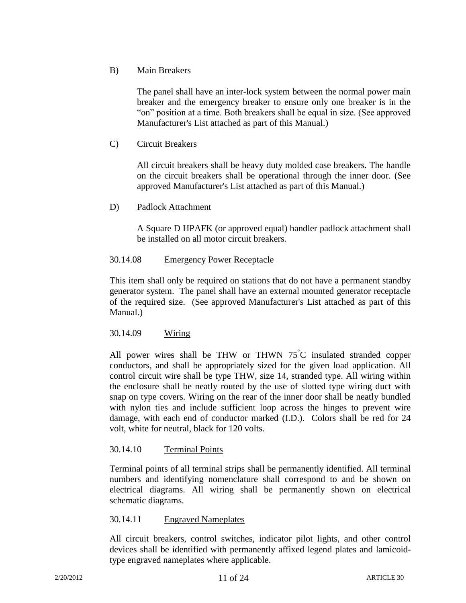# B) Main Breakers

The panel shall have an inter-lock system between the normal power main breaker and the emergency breaker to ensure only one breaker is in the "on" position at a time. Both breakers shall be equal in size. (See approved Manufacturer's List attached as part of this Manual.)

C) Circuit Breakers

All circuit breakers shall be heavy duty molded case breakers. The handle on the circuit breakers shall be operational through the inner door. (See approved Manufacturer's List attached as part of this Manual.)

D) Padlock Attachment

A Square D HPAFK (or approved equal) handler padlock attachment shall be installed on all motor circuit breakers.

# 30.14.08 Emergency Power Receptacle

This item shall only be required on stations that do not have a permanent standby generator system. The panel shall have an external mounted generator receptacle of the required size. (See approved Manufacturer's List attached as part of this Manual.)

# 30.14.09 Wiring

All power wires shall be THW or THWN  $75\degree$ C insulated stranded copper conductors, and shall be appropriately sized for the given load application. All control circuit wire shall be type THW, size 14, stranded type. All wiring within the enclosure shall be neatly routed by the use of slotted type wiring duct with snap on type covers. Wiring on the rear of the inner door shall be neatly bundled with nylon ties and include sufficient loop across the hinges to prevent wire damage, with each end of conductor marked (I.D.). Colors shall be red for 24 volt, white for neutral, black for 120 volts.

### 30.14.10 Terminal Points

Terminal points of all terminal strips shall be permanently identified. All terminal numbers and identifying nomenclature shall correspond to and be shown on electrical diagrams. All wiring shall be permanently shown on electrical schematic diagrams.

### 30.14.11 Engraved Nameplates

All circuit breakers, control switches, indicator pilot lights, and other control devices shall be identified with permanently affixed legend plates and lamicoidtype engraved nameplates where applicable.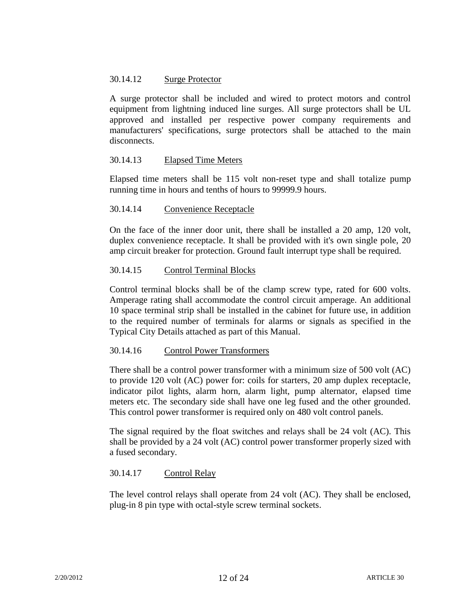# 30.14.12 Surge Protector

A surge protector shall be included and wired to protect motors and control equipment from lightning induced line surges. All surge protectors shall be UL approved and installed per respective power company requirements and manufacturers' specifications, surge protectors shall be attached to the main disconnects.

### 30.14.13 Elapsed Time Meters

Elapsed time meters shall be 115 volt non-reset type and shall totalize pump running time in hours and tenths of hours to 99999.9 hours.

#### 30.14.14 Convenience Receptacle

On the face of the inner door unit, there shall be installed a 20 amp, 120 volt, duplex convenience receptacle. It shall be provided with it's own single pole, 20 amp circuit breaker for protection. Ground fault interrupt type shall be required.

#### 30.14.15 Control Terminal Blocks

Control terminal blocks shall be of the clamp screw type, rated for 600 volts. Amperage rating shall accommodate the control circuit amperage. An additional 10 space terminal strip shall be installed in the cabinet for future use, in addition to the required number of terminals for alarms or signals as specified in the Typical City Details attached as part of this Manual.

#### 30.14.16 Control Power Transformers

There shall be a control power transformer with a minimum size of 500 volt (AC) to provide 120 volt (AC) power for: coils for starters, 20 amp duplex receptacle, indicator pilot lights, alarm horn, alarm light, pump alternator, elapsed time meters etc. The secondary side shall have one leg fused and the other grounded. This control power transformer is required only on 480 volt control panels.

The signal required by the float switches and relays shall be 24 volt (AC). This shall be provided by a 24 volt (AC) control power transformer properly sized with a fused secondary.

### 30.14.17 Control Relay

The level control relays shall operate from 24 volt (AC). They shall be enclosed, plug-in 8 pin type with octal-style screw terminal sockets.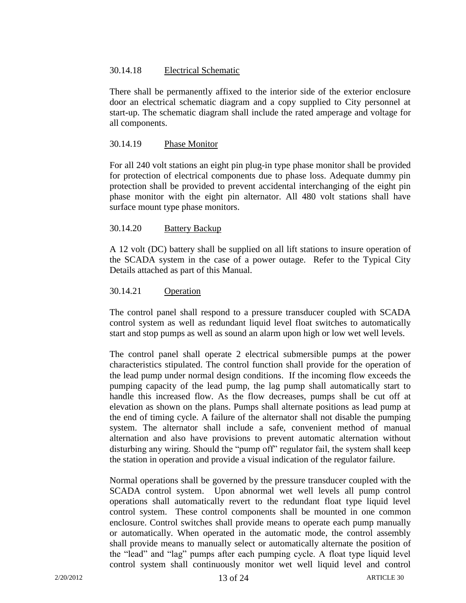### 30.14.18 Electrical Schematic

There shall be permanently affixed to the interior side of the exterior enclosure door an electrical schematic diagram and a copy supplied to City personnel at start-up. The schematic diagram shall include the rated amperage and voltage for all components.

### 30.14.19 Phase Monitor

For all 240 volt stations an eight pin plug-in type phase monitor shall be provided for protection of electrical components due to phase loss. Adequate dummy pin protection shall be provided to prevent accidental interchanging of the eight pin phase monitor with the eight pin alternator. All 480 volt stations shall have surface mount type phase monitors.

# 30.14.20 Battery Backup

A 12 volt (DC) battery shall be supplied on all lift stations to insure operation of the SCADA system in the case of a power outage. Refer to the Typical City Details attached as part of this Manual.

# 30.14.21 Operation

The control panel shall respond to a pressure transducer coupled with SCADA control system as well as redundant liquid level float switches to automatically start and stop pumps as well as sound an alarm upon high or low wet well levels.

The control panel shall operate 2 electrical submersible pumps at the power characteristics stipulated. The control function shall provide for the operation of the lead pump under normal design conditions. If the incoming flow exceeds the pumping capacity of the lead pump, the lag pump shall automatically start to handle this increased flow. As the flow decreases, pumps shall be cut off at elevation as shown on the plans. Pumps shall alternate positions as lead pump at the end of timing cycle. A failure of the alternator shall not disable the pumping system. The alternator shall include a safe, convenient method of manual alternation and also have provisions to prevent automatic alternation without disturbing any wiring. Should the "pump off" regulator fail, the system shall keep the station in operation and provide a visual indication of the regulator failure.

Normal operations shall be governed by the pressure transducer coupled with the SCADA control system. Upon abnormal wet well levels all pump control operations shall automatically revert to the redundant float type liquid level control system. These control components shall be mounted in one common enclosure. Control switches shall provide means to operate each pump manually or automatically. When operated in the automatic mode, the control assembly shall provide means to manually select or automatically alternate the position of the "lead" and "lag" pumps after each pumping cycle. A float type liquid level control system shall continuously monitor wet well liquid level and control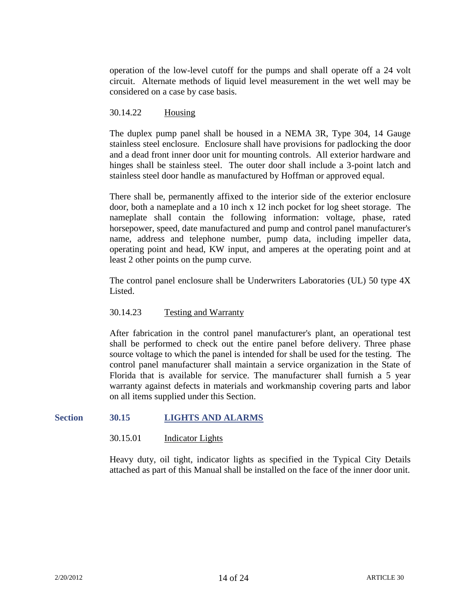operation of the low-level cutoff for the pumps and shall operate off a 24 volt circuit. Alternate methods of liquid level measurement in the wet well may be considered on a case by case basis.

### 30.14.22 Housing

The duplex pump panel shall be housed in a NEMA 3R, Type 304, 14 Gauge stainless steel enclosure. Enclosure shall have provisions for padlocking the door and a dead front inner door unit for mounting controls. All exterior hardware and hinges shall be stainless steel. The outer door shall include a 3-point latch and stainless steel door handle as manufactured by Hoffman or approved equal.

There shall be, permanently affixed to the interior side of the exterior enclosure door, both a nameplate and a 10 inch x 12 inch pocket for log sheet storage. The nameplate shall contain the following information: voltage, phase, rated horsepower, speed, date manufactured and pump and control panel manufacturer's name, address and telephone number, pump data, including impeller data, operating point and head, KW input, and amperes at the operating point and at least 2 other points on the pump curve.

The control panel enclosure shall be Underwriters Laboratories (UL) 50 type 4X Listed.

### 30.14.23 Testing and Warranty

After fabrication in the control panel manufacturer's plant, an operational test shall be performed to check out the entire panel before delivery. Three phase source voltage to which the panel is intended for shall be used for the testing. The control panel manufacturer shall maintain a service organization in the State of Florida that is available for service. The manufacturer shall furnish a 5 year warranty against defects in materials and workmanship covering parts and labor on all items supplied under this Section.

### **Section 30.15 LIGHTS AND ALARMS**

#### 30.15.01 Indicator Lights

Heavy duty, oil tight, indicator lights as specified in the Typical City Details attached as part of this Manual shall be installed on the face of the inner door unit.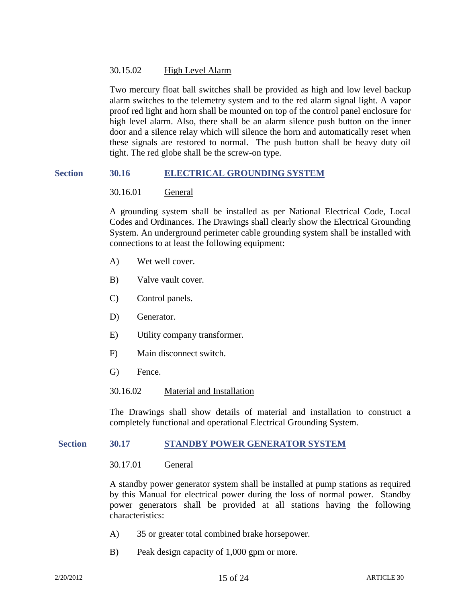# 30.15.02 High Level Alarm

Two mercury float ball switches shall be provided as high and low level backup alarm switches to the telemetry system and to the red alarm signal light. A vapor proof red light and horn shall be mounted on top of the control panel enclosure for high level alarm. Also, there shall be an alarm silence push button on the inner door and a silence relay which will silence the horn and automatically reset when these signals are restored to normal. The push button shall be heavy duty oil tight. The red globe shall be the screw-on type.

### **Section 30.16 ELECTRICAL GROUNDING SYSTEM**

# 30.16.01 General

A grounding system shall be installed as per National Electrical Code, Local Codes and Ordinances. The Drawings shall clearly show the Electrical Grounding System. An underground perimeter cable grounding system shall be installed with connections to at least the following equipment:

- A) Wet well cover.
- B) Valve vault cover.
- C) Control panels.
- D) Generator.
- E) Utility company transformer.
- F) Main disconnect switch.
- G) Fence.

### 30.16.02 Material and Installation

The Drawings shall show details of material and installation to construct a completely functional and operational Electrical Grounding System.

### **Section 30.17 STANDBY POWER GENERATOR SYSTEM**

### 30.17.01 General

A standby power generator system shall be installed at pump stations as required by this Manual for electrical power during the loss of normal power. Standby power generators shall be provided at all stations having the following characteristics:

- A) 35 or greater total combined brake horsepower.
- B) Peak design capacity of 1,000 gpm or more.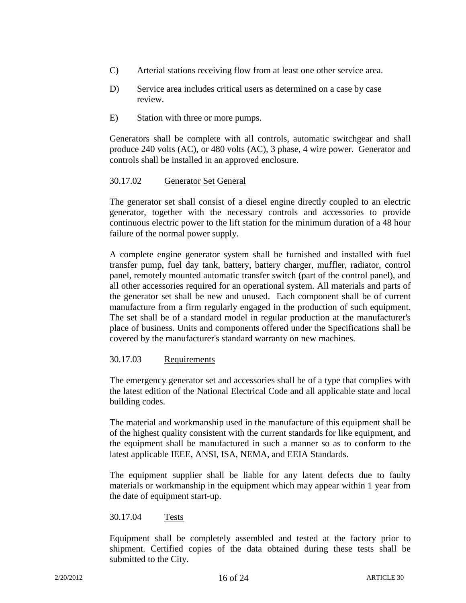- C) Arterial stations receiving flow from at least one other service area.
- D) Service area includes critical users as determined on a case by case review.
- E) Station with three or more pumps.

Generators shall be complete with all controls, automatic switchgear and shall produce 240 volts (AC), or 480 volts (AC), 3 phase, 4 wire power. Generator and controls shall be installed in an approved enclosure.

### 30.17.02 Generator Set General

The generator set shall consist of a diesel engine directly coupled to an electric generator, together with the necessary controls and accessories to provide continuous electric power to the lift station for the minimum duration of a 48 hour failure of the normal power supply.

A complete engine generator system shall be furnished and installed with fuel transfer pump, fuel day tank, battery, battery charger, muffler, radiator, control panel, remotely mounted automatic transfer switch (part of the control panel), and all other accessories required for an operational system. All materials and parts of the generator set shall be new and unused. Each component shall be of current manufacture from a firm regularly engaged in the production of such equipment. The set shall be of a standard model in regular production at the manufacturer's place of business. Units and components offered under the Specifications shall be covered by the manufacturer's standard warranty on new machines.

### 30.17.03 Requirements

The emergency generator set and accessories shall be of a type that complies with the latest edition of the National Electrical Code and all applicable state and local building codes.

The material and workmanship used in the manufacture of this equipment shall be of the highest quality consistent with the current standards for like equipment, and the equipment shall be manufactured in such a manner so as to conform to the latest applicable IEEE, ANSI, ISA, NEMA, and EEIA Standards.

The equipment supplier shall be liable for any latent defects due to faulty materials or workmanship in the equipment which may appear within 1 year from the date of equipment start-up.

### 30.17.04 Tests

Equipment shall be completely assembled and tested at the factory prior to shipment. Certified copies of the data obtained during these tests shall be submitted to the City.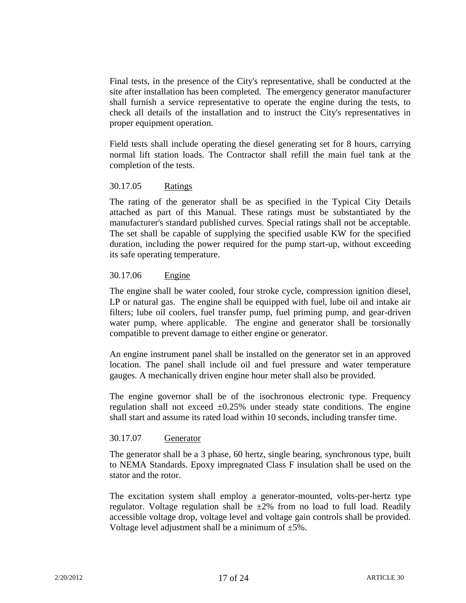Final tests, in the presence of the City's representative, shall be conducted at the site after installation has been completed. The emergency generator manufacturer shall furnish a service representative to operate the engine during the tests, to check all details of the installation and to instruct the City's representatives in proper equipment operation.

Field tests shall include operating the diesel generating set for 8 hours, carrying normal lift station loads. The Contractor shall refill the main fuel tank at the completion of the tests.

#### 30.17.05 Ratings

The rating of the generator shall be as specified in the Typical City Details attached as part of this Manual. These ratings must be substantiated by the manufacturer's standard published curves. Special ratings shall not be acceptable. The set shall be capable of supplying the specified usable KW for the specified duration, including the power required for the pump start-up, without exceeding its safe operating temperature.

#### 30.17.06 Engine

The engine shall be water cooled, four stroke cycle, compression ignition diesel, LP or natural gas. The engine shall be equipped with fuel, lube oil and intake air filters; lube oil coolers, fuel transfer pump, fuel priming pump, and gear-driven water pump, where applicable. The engine and generator shall be torsionally compatible to prevent damage to either engine or generator.

An engine instrument panel shall be installed on the generator set in an approved location. The panel shall include oil and fuel pressure and water temperature gauges. A mechanically driven engine hour meter shall also be provided.

The engine governor shall be of the isochronous electronic type. Frequency regulation shall not exceed  $\pm 0.25\%$  under steady state conditions. The engine shall start and assume its rated load within 10 seconds, including transfer time.

### 30.17.07 Generator

The generator shall be a 3 phase, 60 hertz, single bearing, synchronous type, built to NEMA Standards. Epoxy impregnated Class F insulation shall be used on the stator and the rotor.

The excitation system shall employ a generator-mounted, volts-per-hertz type regulator. Voltage regulation shall be  $\pm 2\%$  from no load to full load. Readily accessible voltage drop, voltage level and voltage gain controls shall be provided. Voltage level adjustment shall be a minimum of  $\pm 5\%$ .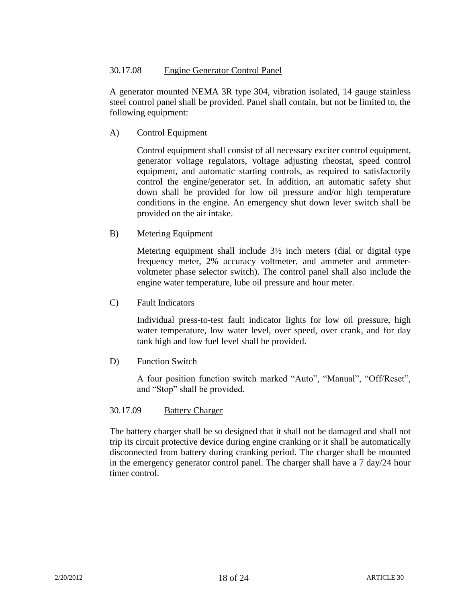# 30.17.08 Engine Generator Control Panel

A generator mounted NEMA 3R type 304, vibration isolated, 14 gauge stainless steel control panel shall be provided. Panel shall contain, but not be limited to, the following equipment:

A) Control Equipment

Control equipment shall consist of all necessary exciter control equipment, generator voltage regulators, voltage adjusting rheostat, speed control equipment, and automatic starting controls, as required to satisfactorily control the engine/generator set. In addition, an automatic safety shut down shall be provided for low oil pressure and/or high temperature conditions in the engine. An emergency shut down lever switch shall be provided on the air intake.

B) Metering Equipment

Metering equipment shall include 3½ inch meters (dial or digital type frequency meter, 2% accuracy voltmeter, and ammeter and ammetervoltmeter phase selector switch). The control panel shall also include the engine water temperature, lube oil pressure and hour meter.

C) Fault Indicators

Individual press-to-test fault indicator lights for low oil pressure, high water temperature, low water level, over speed, over crank, and for day tank high and low fuel level shall be provided.

D) Function Switch

A four position function switch marked "Auto", "Manual", "Off/Reset", and "Stop" shall be provided.

### 30.17.09 Battery Charger

The battery charger shall be so designed that it shall not be damaged and shall not trip its circuit protective device during engine cranking or it shall be automatically disconnected from battery during cranking period. The charger shall be mounted in the emergency generator control panel. The charger shall have a 7 day/24 hour timer control.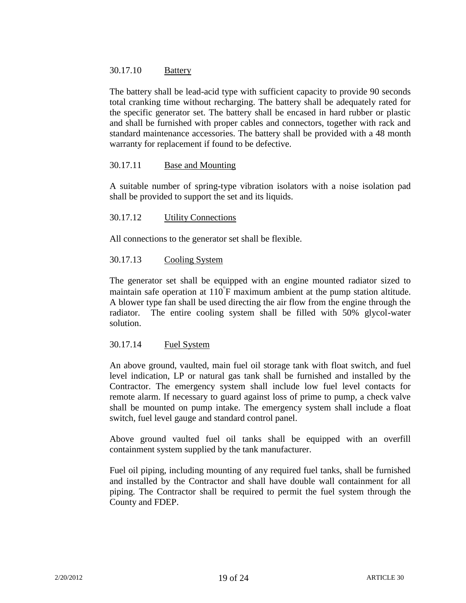### 30.17.10 Battery

The battery shall be lead-acid type with sufficient capacity to provide 90 seconds total cranking time without recharging. The battery shall be adequately rated for the specific generator set. The battery shall be encased in hard rubber or plastic and shall be furnished with proper cables and connectors, together with rack and standard maintenance accessories. The battery shall be provided with a 48 month warranty for replacement if found to be defective.

### 30.17.11 Base and Mounting

A suitable number of spring-type vibration isolators with a noise isolation pad shall be provided to support the set and its liquids.

### 30.17.12 Utility Connections

All connections to the generator set shall be flexible.

### 30.17.13 Cooling System

The generator set shall be equipped with an engine mounted radiator sized to maintain safe operation at 110 F maximum ambient at the pump station altitude. A blower type fan shall be used directing the air flow from the engine through the radiator. The entire cooling system shall be filled with 50% glycol-water solution.

### 30.17.14 Fuel System

An above ground, vaulted, main fuel oil storage tank with float switch, and fuel level indication, LP or natural gas tank shall be furnished and installed by the Contractor. The emergency system shall include low fuel level contacts for remote alarm. If necessary to guard against loss of prime to pump, a check valve shall be mounted on pump intake. The emergency system shall include a float switch, fuel level gauge and standard control panel.

Above ground vaulted fuel oil tanks shall be equipped with an overfill containment system supplied by the tank manufacturer.

Fuel oil piping, including mounting of any required fuel tanks, shall be furnished and installed by the Contractor and shall have double wall containment for all piping. The Contractor shall be required to permit the fuel system through the County and FDEP.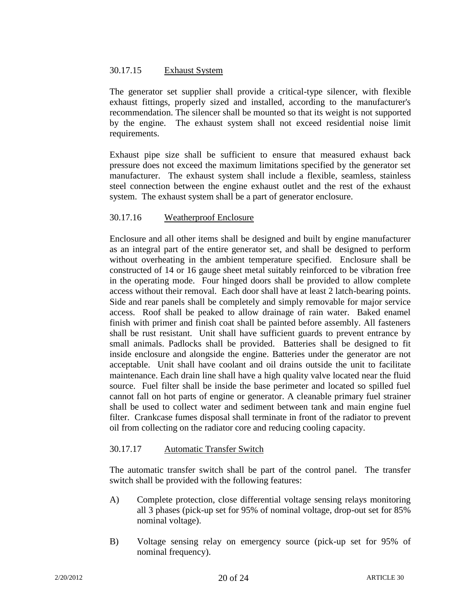# 30.17.15 Exhaust System

The generator set supplier shall provide a critical-type silencer, with flexible exhaust fittings, properly sized and installed, according to the manufacturer's recommendation. The silencer shall be mounted so that its weight is not supported by the engine. The exhaust system shall not exceed residential noise limit requirements.

Exhaust pipe size shall be sufficient to ensure that measured exhaust back pressure does not exceed the maximum limitations specified by the generator set manufacturer. The exhaust system shall include a flexible, seamless, stainless steel connection between the engine exhaust outlet and the rest of the exhaust system. The exhaust system shall be a part of generator enclosure.

# 30.17.16 Weatherproof Enclosure

Enclosure and all other items shall be designed and built by engine manufacturer as an integral part of the entire generator set, and shall be designed to perform without overheating in the ambient temperature specified. Enclosure shall be constructed of 14 or 16 gauge sheet metal suitably reinforced to be vibration free in the operating mode. Four hinged doors shall be provided to allow complete access without their removal. Each door shall have at least 2 latch-bearing points. Side and rear panels shall be completely and simply removable for major service access. Roof shall be peaked to allow drainage of rain water. Baked enamel finish with primer and finish coat shall be painted before assembly. All fasteners shall be rust resistant. Unit shall have sufficient guards to prevent entrance by small animals. Padlocks shall be provided. Batteries shall be designed to fit inside enclosure and alongside the engine. Batteries under the generator are not acceptable. Unit shall have coolant and oil drains outside the unit to facilitate maintenance. Each drain line shall have a high quality valve located near the fluid source. Fuel filter shall be inside the base perimeter and located so spilled fuel cannot fall on hot parts of engine or generator. A cleanable primary fuel strainer shall be used to collect water and sediment between tank and main engine fuel filter. Crankcase fumes disposal shall terminate in front of the radiator to prevent oil from collecting on the radiator core and reducing cooling capacity.

### 30.17.17 Automatic Transfer Switch

The automatic transfer switch shall be part of the control panel. The transfer switch shall be provided with the following features:

- A) Complete protection, close differential voltage sensing relays monitoring all 3 phases (pick-up set for 95% of nominal voltage, drop-out set for 85% nominal voltage).
- B) Voltage sensing relay on emergency source (pick-up set for 95% of nominal frequency).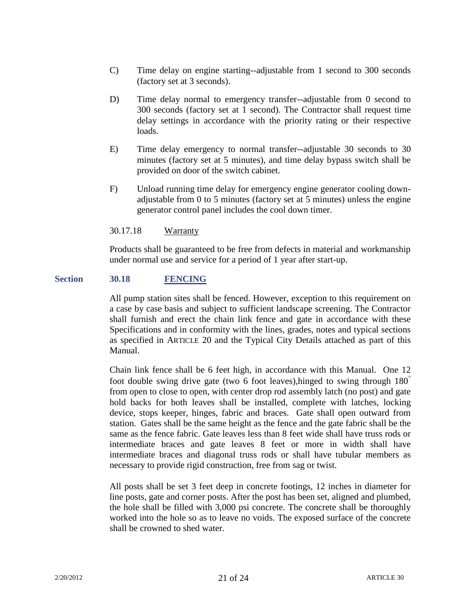- C) Time delay on engine starting--adjustable from 1 second to 300 seconds (factory set at 3 seconds).
- D) Time delay normal to emergency transfer--adjustable from 0 second to 300 seconds (factory set at 1 second). The Contractor shall request time delay settings in accordance with the priority rating or their respective loads.
- E) Time delay emergency to normal transfer--adjustable 30 seconds to 30 minutes (factory set at 5 minutes), and time delay bypass switch shall be provided on door of the switch cabinet.
- F) Unload running time delay for emergency engine generator cooling downadjustable from 0 to 5 minutes (factory set at 5 minutes) unless the engine generator control panel includes the cool down timer.

#### 30.17.18 Warranty

Products shall be guaranteed to be free from defects in material and workmanship under normal use and service for a period of 1 year after start-up.

#### **Section 30.18 FENCING**

All pump station sites shall be fenced. However, exception to this requirement on a case by case basis and subject to sufficient landscape screening. The Contractor shall furnish and erect the chain link fence and gate in accordance with these Specifications and in conformity with the lines, grades, notes and typical sections as specified in ARTICLE 20 and the Typical City Details attached as part of this Manual.

Chain link fence shall be 6 feet high, in accordance with this Manual. One 12 foot double swing drive gate (two 6 foot leaves),hinged to swing through 180 from open to close to open, with center drop rod assembly latch (no post) and gate hold backs for both leaves shall be installed, complete with latches, locking device, stops keeper, hinges, fabric and braces. Gate shall open outward from station. Gates shall be the same height as the fence and the gate fabric shall be the same as the fence fabric. Gate leaves less than 8 feet wide shall have truss rods or intermediate braces and gate leaves 8 feet or more in width shall have intermediate braces and diagonal truss rods or shall have tubular members as necessary to provide rigid construction, free from sag or twist.

All posts shall be set 3 feet deep in concrete footings, 12 inches in diameter for line posts, gate and corner posts. After the post has been set, aligned and plumbed, the hole shall be filled with 3,000 psi concrete. The concrete shall be thoroughly worked into the hole so as to leave no voids. The exposed surface of the concrete shall be crowned to shed water.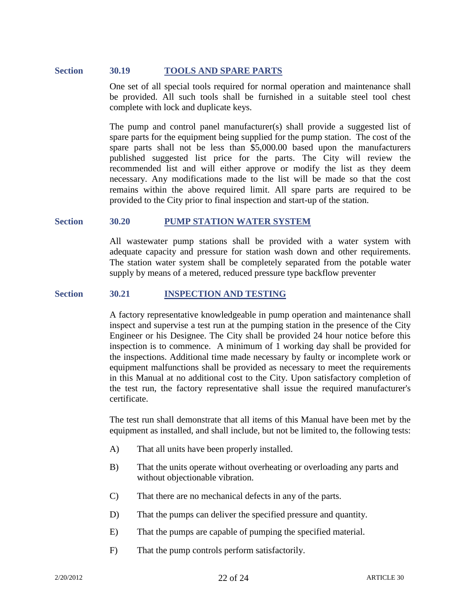### **Section 30.19 TOOLS AND SPARE PARTS**

One set of all special tools required for normal operation and maintenance shall be provided. All such tools shall be furnished in a suitable steel tool chest complete with lock and duplicate keys.

The pump and control panel manufacturer(s) shall provide a suggested list of spare parts for the equipment being supplied for the pump station. The cost of the spare parts shall not be less than \$5,000.00 based upon the manufacturers published suggested list price for the parts. The City will review the recommended list and will either approve or modify the list as they deem necessary. Any modifications made to the list will be made so that the cost remains within the above required limit. All spare parts are required to be provided to the City prior to final inspection and start-up of the station.

#### **Section 30.20 PUMP STATION WATER SYSTEM**

All wastewater pump stations shall be provided with a water system with adequate capacity and pressure for station wash down and other requirements. The station water system shall be completely separated from the potable water supply by means of a metered, reduced pressure type backflow preventer

#### **Section 30.21 INSPECTION AND TESTING**

A factory representative knowledgeable in pump operation and maintenance shall inspect and supervise a test run at the pumping station in the presence of the City Engineer or his Designee. The City shall be provided 24 hour notice before this inspection is to commence. A minimum of 1 working day shall be provided for the inspections. Additional time made necessary by faulty or incomplete work or equipment malfunctions shall be provided as necessary to meet the requirements in this Manual at no additional cost to the City. Upon satisfactory completion of the test run, the factory representative shall issue the required manufacturer's certificate.

The test run shall demonstrate that all items of this Manual have been met by the equipment as installed, and shall include, but not be limited to, the following tests:

- A) That all units have been properly installed.
- B) That the units operate without overheating or overloading any parts and without objectionable vibration.
- C) That there are no mechanical defects in any of the parts.
- D) That the pumps can deliver the specified pressure and quantity.
- E) That the pumps are capable of pumping the specified material.
- F) That the pump controls perform satisfactorily.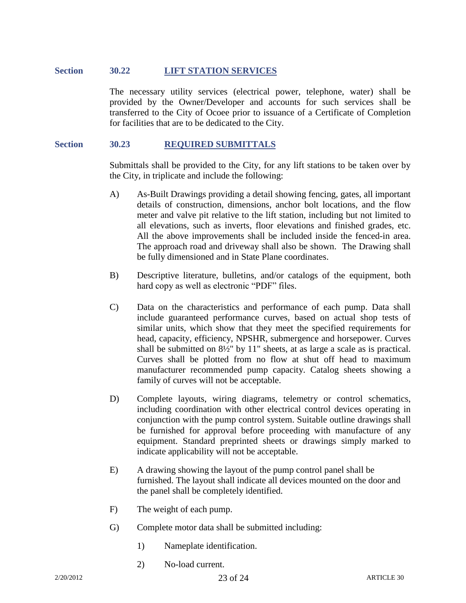# **Section 30.22 LIFT STATION SERVICES**

The necessary utility services (electrical power, telephone, water) shall be provided by the Owner/Developer and accounts for such services shall be transferred to the City of Ocoee prior to issuance of a Certificate of Completion for facilities that are to be dedicated to the City.

#### **Section 30.23 REQUIRED SUBMITTALS**

Submittals shall be provided to the City, for any lift stations to be taken over by the City, in triplicate and include the following:

- A) As-Built Drawings providing a detail showing fencing, gates, all important details of construction, dimensions, anchor bolt locations, and the flow meter and valve pit relative to the lift station, including but not limited to all elevations, such as inverts, floor elevations and finished grades, etc. All the above improvements shall be included inside the fenced-in area. The approach road and driveway shall also be shown. The Drawing shall be fully dimensioned and in State Plane coordinates.
- B) Descriptive literature, bulletins, and/or catalogs of the equipment, both hard copy as well as electronic "PDF" files.
- C) Data on the characteristics and performance of each pump. Data shall include guaranteed performance curves, based on actual shop tests of similar units, which show that they meet the specified requirements for head, capacity, efficiency, NPSHR, submergence and horsepower. Curves shall be submitted on 8½" by 11" sheets, at as large a scale as is practical. Curves shall be plotted from no flow at shut off head to maximum manufacturer recommended pump capacity. Catalog sheets showing a family of curves will not be acceptable.
- D) Complete layouts, wiring diagrams, telemetry or control schematics, including coordination with other electrical control devices operating in conjunction with the pump control system. Suitable outline drawings shall be furnished for approval before proceeding with manufacture of any equipment. Standard preprinted sheets or drawings simply marked to indicate applicability will not be acceptable.
- E) A drawing showing the layout of the pump control panel shall be furnished. The layout shall indicate all devices mounted on the door and the panel shall be completely identified.
- F) The weight of each pump.
- G) Complete motor data shall be submitted including:
	- 1) Nameplate identification.
	- 2) No-load current.